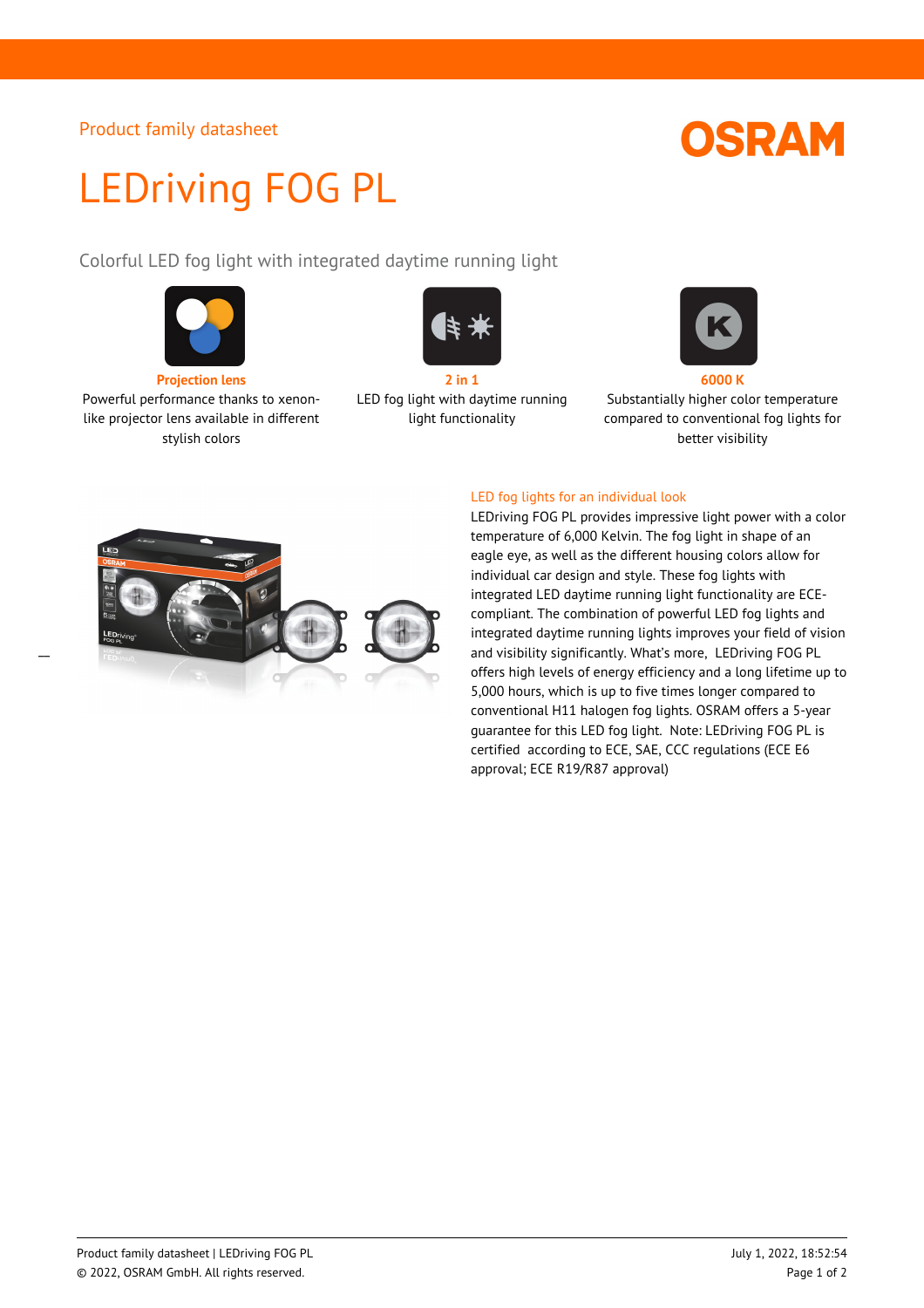### Product family datasheet

# **OSRAM**

# LEDriving FOG PL

Colorful LED fog light with integrated daytime running light



Powerful performance thanks to xenonlike projector lens available in different stylish colors

 $\overline{a}$ 



LED fog light with daytime running light functionality



Substantially higher color temperature compared to conventional fog lights for better visibility





LEDriving FOG PL provides impressive light power with a color temperature of 6,000 Kelvin. The fog light in shape of an eagle eye, as well as the different housing colors allow for individual car design and style. These fog lights with integrated LED daytime running light functionality are ECEcompliant. The combination of powerful LED fog lights and integrated daytime running lights improves your field of vision and visibility significantly. What's more, LEDriving FOG PL offers high levels of energy efficiency and a long lifetime up to 5,000 hours, which is up to five times longer compared to conventional H11 halogen fog lights. OSRAM offers a 5-year guarantee for this LED fog light. Note: LEDriving FOG PL is certified according to ECE, SAE, CCC regulations (ECE E6 approval; ECE R19/R87 approval)